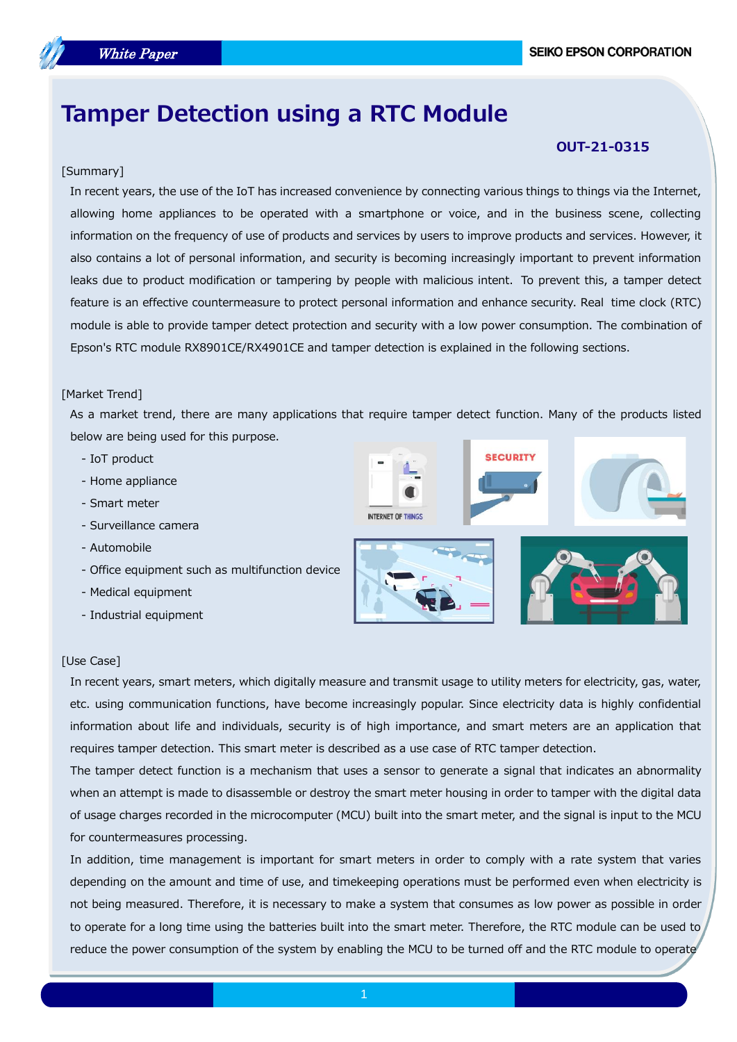# **Tamper Detection using a RTC Module**

# [Summary]

# **OUT-21-0315**

In recent years, the use of the IoT has increased convenience by connecting various things to things via the Internet, allowing home appliances to be operated with a smartphone or voice, and in the business scene, collecting information on the frequency of use of products and services by users to improve products and services. However, it also contains a lot of personal information, and security is becoming increasingly important to prevent information leaks due to product modification or tampering by people with malicious intent. To prevent this, a tamper detect feature is an effective countermeasure to protect personal information and enhance security. Real time clock (RTC) module is able to provide tamper detect protection and security with a low power consumption. The combination of Epson's RTC module RX8901CE/RX4901CE and tamper detection is explained in the following sections.

#### [Market Trend]

As a market trend, there are many applications that require tamper detect function. Many of the products listed below are being used for this purpose.

- IoT product
- Home appliance
- Smart meter
- Surveillance camera
- Automobile
- Office equipment such as multifunction device
- Medical equipment
- Industrial equipment



**SECURIT** 



# [Use Case]

In recent years, smart meters, which digitally measure and transmit usage to utility meters for electricity, gas, water, etc. using communication functions, have become increasingly popular. Since electricity data is highly confidential information about life and individuals, security is of high importance, and smart meters are an application that requires tamper detection. This smart meter is described as a use case of RTC tamper detection.

The tamper detect function is a mechanism that uses a sensor to generate a signal that indicates an abnormality when an attempt is made to disassemble or destroy the smart meter housing in order to tamper with the digital data of usage charges recorded in the microcomputer (MCU) built into the smart meter, and the signal is input to the MCU for countermeasures processing.

In addition, time management is important for smart meters in order to comply with a rate system that varies depending on the amount and time of use, and timekeeping operations must be performed even when electricity is not being measured. Therefore, it is necessary to make a system that consumes as low power as possible in order to operate for a long time using the batteries built into the smart meter. Therefore, the RTC module can be used to reduce the power consumption of the system by enabling the MCU to be turned off and the RTC module to operate

the control of the control of the control of the control of the control of the control of the control of the c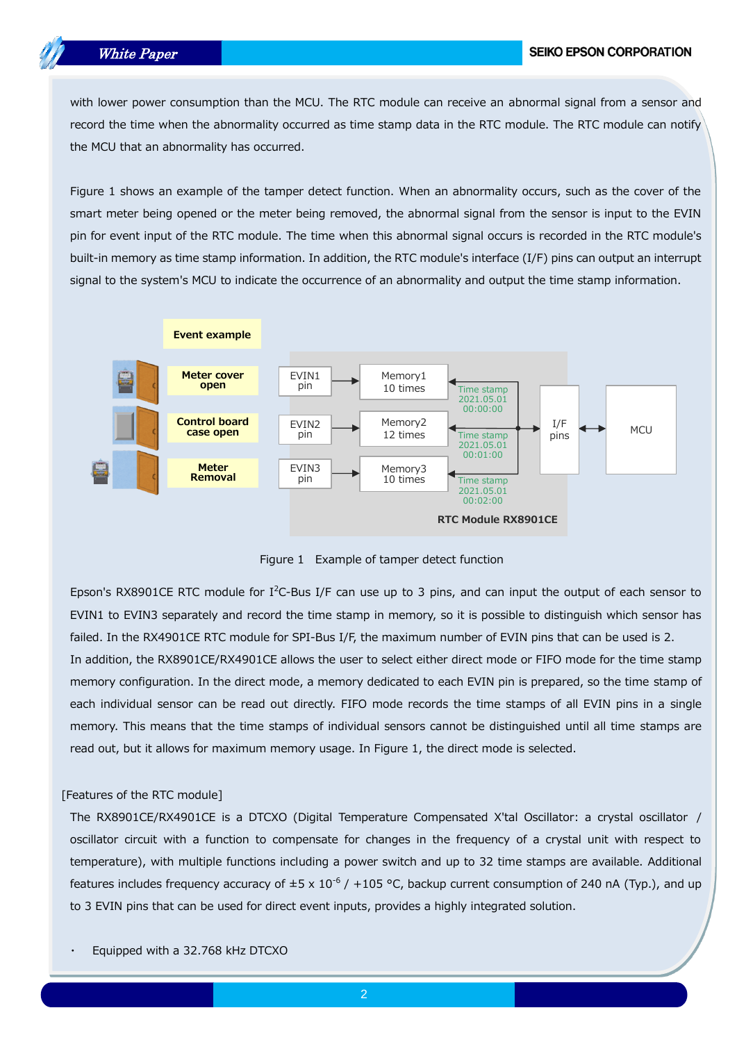# White Paper

with lower power consumption than the MCU. The RTC module can receive an abnormal signal from a sensor and record the time when the abnormality occurred as time stamp data in the RTC module. The RTC module can notify the MCU that an abnormality has occurred.

Figure 1 shows an example of the tamper detect function. When an abnormality occurs, such as the cover of the smart meter being opened or the meter being removed, the abnormal signal from the sensor is input to the EVIN pin for event input of the RTC module. The time when this abnormal signal occurs is recorded in the RTC module's built-in memory as time stamp information. In addition, the RTC module's interface (I/F) pins can output an interrupt signal to the system's MCU to indicate the occurrence of an abnormality and output the time stamp information.



Figure 1 Example of tamper detect function

Epson's RX8901CE RTC module for I<sup>2</sup>C-Bus I/F can use up to 3 pins, and can input the output of each sensor to EVIN1 to EVIN3 separately and record the time stamp in memory, so it is possible to distinguish which sensor has failed. In the RX4901CE RTC module for SPI-Bus I/F, the maximum number of EVIN pins that can be used is 2. In addition, the RX8901CE/RX4901CE allows the user to select either direct mode or FIFO mode for the time stamp memory configuration. In the direct mode, a memory dedicated to each EVIN pin is prepared, so the time stamp of

each individual sensor can be read out directly. FIFO mode records the time stamps of all EVIN pins in a single memory. This means that the time stamps of individual sensors cannot be distinguished until all time stamps are read out, but it allows for maximum memory usage. In Figure 1, the direct mode is selected.

#### [Features of the RTC module]

The RX8901CE/RX4901CE is a DTCXO (Digital Temperature Compensated X'tal Oscillator: a crystal oscillator / oscillator circuit with a function to compensate for changes in the frequency of a crystal unit with respect to temperature), with multiple functions including a power switch and up to 32 time stamps are available. Additional features includes frequency accuracy of  $\pm 5 \times 10^{-6}$  /  $+105$  °C, backup current consumption of 240 nA (Typ.), and up to 3 EVIN pins that can be used for direct event inputs, provides a highly integrated solution.

Equipped with a 32.768 kHz DTCXO